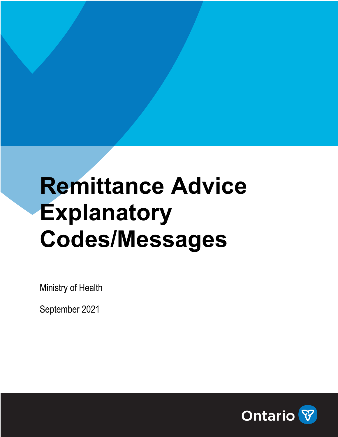## **Remittance Advice Explanatory Codes/Messages**

Ministry of Health

September 2021

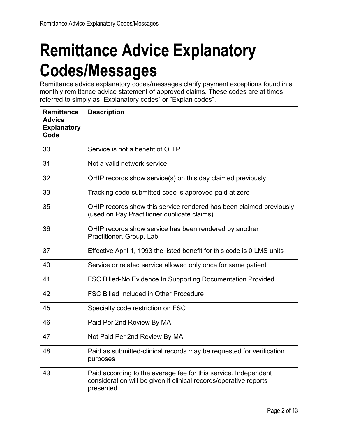## **Remittance Advice Explanatory Codes/Messages**

Remittance advice explanatory codes/messages clarify payment exceptions found in a monthly remittance advice statement of approved claims. These codes are at times referred to simply as "Explanatory codes" or "Explan codes".

| <b>Remittance</b><br><b>Advice</b><br><b>Explanatory</b><br>Code | <b>Description</b>                                                                                                                                 |
|------------------------------------------------------------------|----------------------------------------------------------------------------------------------------------------------------------------------------|
| 30                                                               | Service is not a benefit of OHIP                                                                                                                   |
| 31                                                               | Not a valid network service                                                                                                                        |
| 32                                                               | OHIP records show service(s) on this day claimed previously                                                                                        |
| 33                                                               | Tracking code-submitted code is approved-paid at zero                                                                                              |
| 35                                                               | OHIP records show this service rendered has been claimed previously<br>(used on Pay Practitioner duplicate claims)                                 |
| 36                                                               | OHIP records show service has been rendered by another<br>Practitioner, Group, Lab                                                                 |
| 37                                                               | Effective April 1, 1993 the listed benefit for this code is 0 LMS units                                                                            |
| 40                                                               | Service or related service allowed only once for same patient                                                                                      |
| 41                                                               | FSC Billed-No Evidence In Supporting Documentation Provided                                                                                        |
| 42                                                               | <b>FSC Billed Included in Other Procedure</b>                                                                                                      |
| 45                                                               | Specialty code restriction on FSC                                                                                                                  |
| 46                                                               | Paid Per 2nd Review By MA                                                                                                                          |
| 47                                                               | Not Paid Per 2nd Review By MA                                                                                                                      |
| 48                                                               | Paid as submitted-clinical records may be requested for verification<br>purposes                                                                   |
| 49                                                               | Paid according to the average fee for this service. Independent<br>consideration will be given if clinical records/operative reports<br>presented. |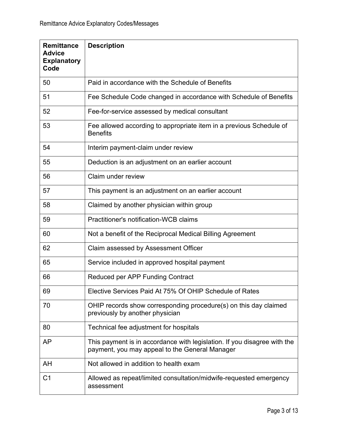| <b>Remittance</b><br><b>Advice</b><br><b>Explanatory</b><br>Code | <b>Description</b>                                                                                                         |
|------------------------------------------------------------------|----------------------------------------------------------------------------------------------------------------------------|
| 50                                                               | Paid in accordance with the Schedule of Benefits                                                                           |
| 51                                                               | Fee Schedule Code changed in accordance with Schedule of Benefits                                                          |
| 52                                                               | Fee-for-service assessed by medical consultant                                                                             |
| 53                                                               | Fee allowed according to appropriate item in a previous Schedule of<br><b>Benefits</b>                                     |
| 54                                                               | Interim payment-claim under review                                                                                         |
| 55                                                               | Deduction is an adjustment on an earlier account                                                                           |
| 56                                                               | Claim under review                                                                                                         |
| 57                                                               | This payment is an adjustment on an earlier account                                                                        |
| 58                                                               | Claimed by another physician within group                                                                                  |
| 59                                                               | <b>Practitioner's notification-WCB claims</b>                                                                              |
| 60                                                               | Not a benefit of the Reciprocal Medical Billing Agreement                                                                  |
| 62                                                               | Claim assessed by Assessment Officer                                                                                       |
| 65                                                               | Service included in approved hospital payment                                                                              |
| 66                                                               | Reduced per APP Funding Contract                                                                                           |
| 69                                                               | Elective Services Paid At 75% Of OHIP Schedule of Rates                                                                    |
| 70                                                               | OHIP records show corresponding procedure(s) on this day claimed<br>previously by another physician                        |
| 80                                                               | Technical fee adjustment for hospitals                                                                                     |
| AP                                                               | This payment is in accordance with legislation. If you disagree with the<br>payment, you may appeal to the General Manager |
| AH                                                               | Not allowed in addition to health exam                                                                                     |
| C <sub>1</sub>                                                   | Allowed as repeat/limited consultation/midwife-requested emergency<br>assessment                                           |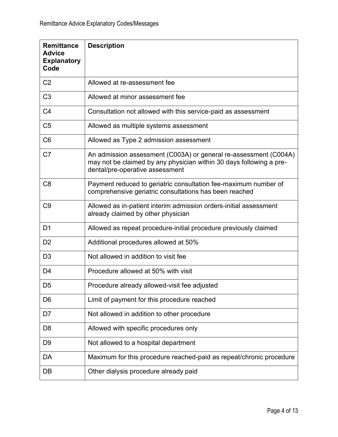| <b>Remittance</b><br><b>Advice</b><br><b>Explanatory</b><br>Code | <b>Description</b>                                                                                                                                                         |
|------------------------------------------------------------------|----------------------------------------------------------------------------------------------------------------------------------------------------------------------------|
| C <sub>2</sub>                                                   | Allowed at re-assessment fee                                                                                                                                               |
| C <sub>3</sub>                                                   | Allowed at minor assessment fee                                                                                                                                            |
| C <sub>4</sub>                                                   | Consultation not allowed with this service-paid as assessment                                                                                                              |
| C <sub>5</sub>                                                   | Allowed as multiple systems assessment                                                                                                                                     |
| C <sub>6</sub>                                                   | Allowed as Type 2 admission assessment                                                                                                                                     |
| C <sub>7</sub>                                                   | An admission assessment (C003A) or general re-assessment (C004A)<br>may not be claimed by any physician within 30 days following a pre-<br>dental/pre-operative assessment |
| C <sub>8</sub>                                                   | Payment reduced to geriatric consultation fee-maximum number of<br>comprehensive geriatric consultations has been reached                                                  |
| C <sub>9</sub>                                                   | Allowed as in-patient interim admission orders-initial assessment<br>already claimed by other physician                                                                    |
| D <sub>1</sub>                                                   | Allowed as repeat procedure-initial procedure previously claimed                                                                                                           |
| D <sub>2</sub>                                                   | Additional procedures allowed at 50%                                                                                                                                       |
| D <sub>3</sub>                                                   | Not allowed in addition to visit fee                                                                                                                                       |
| D <sub>4</sub>                                                   | Procedure allowed at 50% with visit                                                                                                                                        |
| D <sub>5</sub>                                                   | Procedure already allowed-visit fee adjusted                                                                                                                               |
| D <sub>6</sub>                                                   | Limit of payment for this procedure reached                                                                                                                                |
| D7                                                               | Not allowed in addition to other procedure                                                                                                                                 |
| D <sub>8</sub>                                                   | Allowed with specific procedures only                                                                                                                                      |
| D <sub>9</sub>                                                   | Not allowed to a hospital department                                                                                                                                       |
| DA                                                               | Maximum for this procedure reached-paid as repeat/chronic procedure                                                                                                        |
| DB                                                               | Other dialysis procedure already paid                                                                                                                                      |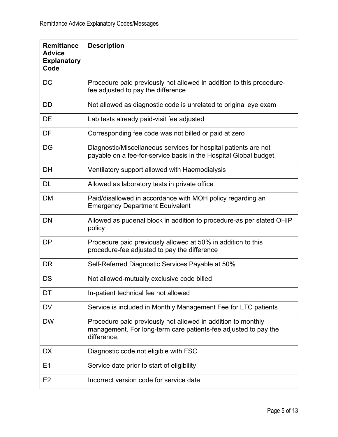| <b>Remittance</b><br><b>Advice</b><br><b>Explanatory</b><br>Code | <b>Description</b>                                                                                                                             |
|------------------------------------------------------------------|------------------------------------------------------------------------------------------------------------------------------------------------|
| DC                                                               | Procedure paid previously not allowed in addition to this procedure-<br>fee adjusted to pay the difference                                     |
| DD                                                               | Not allowed as diagnostic code is unrelated to original eye exam                                                                               |
| DE                                                               | Lab tests already paid-visit fee adjusted                                                                                                      |
| DF                                                               | Corresponding fee code was not billed or paid at zero                                                                                          |
| DG                                                               | Diagnostic/Miscellaneous services for hospital patients are not<br>payable on a fee-for-service basis in the Hospital Global budget.           |
| <b>DH</b>                                                        | Ventilatory support allowed with Haemodialysis                                                                                                 |
| DL                                                               | Allowed as laboratory tests in private office                                                                                                  |
| <b>DM</b>                                                        | Paid/disallowed in accordance with MOH policy regarding an<br><b>Emergency Department Equivalent</b>                                           |
| <b>DN</b>                                                        | Allowed as pudenal block in addition to procedure-as per stated OHIP<br>policy                                                                 |
| <b>DP</b>                                                        | Procedure paid previously allowed at 50% in addition to this<br>procedure-fee adjusted to pay the difference                                   |
| <b>DR</b>                                                        | Self-Referred Diagnostic Services Payable at 50%                                                                                               |
| DS                                                               | Not allowed-mutually exclusive code billed                                                                                                     |
| DT                                                               | In-patient technical fee not allowed                                                                                                           |
| <b>DV</b>                                                        | Service is included in Monthly Management Fee for LTC patients                                                                                 |
| <b>DW</b>                                                        | Procedure paid previously not allowed in addition to monthly<br>management. For long-term care patients-fee adjusted to pay the<br>difference. |
| <b>DX</b>                                                        | Diagnostic code not eligible with FSC                                                                                                          |
| E <sub>1</sub>                                                   | Service date prior to start of eligibility                                                                                                     |
| E <sub>2</sub>                                                   | Incorrect version code for service date                                                                                                        |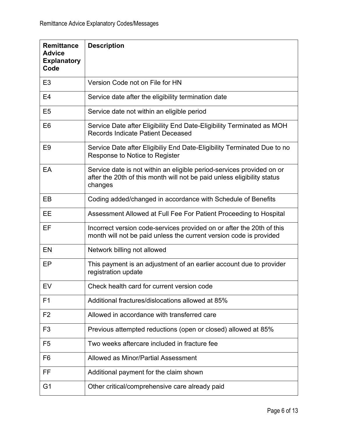| <b>Remittance</b><br><b>Advice</b><br><b>Explanatory</b><br>Code | <b>Description</b>                                                                                                                                          |
|------------------------------------------------------------------|-------------------------------------------------------------------------------------------------------------------------------------------------------------|
| E <sub>3</sub>                                                   | Version Code not on File for HN                                                                                                                             |
| E <sub>4</sub>                                                   | Service date after the eligibility termination date                                                                                                         |
| E <sub>5</sub>                                                   | Service date not within an eligible period                                                                                                                  |
| E <sub>6</sub>                                                   | Service Date after Eligibility End Date-Eligibility Terminated as MOH<br><b>Records Indicate Patient Deceased</b>                                           |
| E <sub>9</sub>                                                   | Service Date after Eligibiliy End Date-Eligibility Terminated Due to no<br>Response to Notice to Register                                                   |
| EA                                                               | Service date is not within an eligible period-services provided on or<br>after the 20th of this month will not be paid unless eligibility status<br>changes |
| EB                                                               | Coding added/changed in accordance with Schedule of Benefits                                                                                                |
| EЕ                                                               | Assessment Allowed at Full Fee For Patient Proceeding to Hospital                                                                                           |
| EF                                                               | Incorrect version code-services provided on or after the 20th of this<br>month will not be paid unless the current version code is provided                 |
| EN                                                               | Network billing not allowed                                                                                                                                 |
| EP                                                               | This payment is an adjustment of an earlier account due to provider<br>registration update                                                                  |
| EV                                                               | Check health card for current version code                                                                                                                  |
| F <sub>1</sub>                                                   | Additional fractures/dislocations allowed at 85%                                                                                                            |
| F <sub>2</sub>                                                   | Allowed in accordance with transferred care                                                                                                                 |
| F <sub>3</sub>                                                   | Previous attempted reductions (open or closed) allowed at 85%                                                                                               |
| F <sub>5</sub>                                                   | Two weeks aftercare included in fracture fee                                                                                                                |
| F <sub>6</sub>                                                   | Allowed as Minor/Partial Assessment                                                                                                                         |
| FF                                                               | Additional payment for the claim shown                                                                                                                      |
| G <sub>1</sub>                                                   | Other critical/comprehensive care already paid                                                                                                              |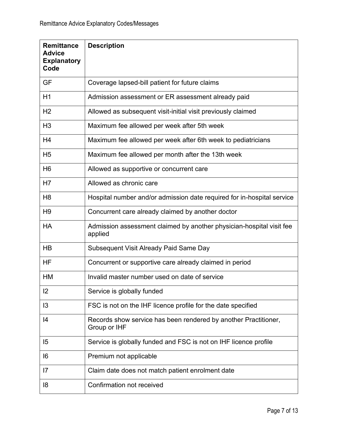| <b>Remittance</b><br><b>Advice</b><br><b>Explanatory</b><br>Code | <b>Description</b>                                                              |
|------------------------------------------------------------------|---------------------------------------------------------------------------------|
| GF                                                               | Coverage lapsed-bill patient for future claims                                  |
| H1                                                               | Admission assessment or ER assessment already paid                              |
| H <sub>2</sub>                                                   | Allowed as subsequent visit-initial visit previously claimed                    |
| H <sub>3</sub>                                                   | Maximum fee allowed per week after 5th week                                     |
| H <sub>4</sub>                                                   | Maximum fee allowed per week after 6th week to pediatricians                    |
| H <sub>5</sub>                                                   | Maximum fee allowed per month after the 13th week                               |
| H <sub>6</sub>                                                   | Allowed as supportive or concurrent care                                        |
| H7                                                               | Allowed as chronic care                                                         |
| H <sub>8</sub>                                                   | Hospital number and/or admission date required for in-hospital service          |
| H <sub>9</sub>                                                   | Concurrent care already claimed by another doctor                               |
| <b>HA</b>                                                        | Admission assessment claimed by another physician-hospital visit fee<br>applied |
| HB                                                               | Subsequent Visit Already Paid Same Day                                          |
| ΗF                                                               | Concurrent or supportive care already claimed in period                         |
| HM                                                               | Invalid master number used on date of service                                   |
| 12                                                               | Service is globally funded                                                      |
| 13                                                               | FSC is not on the IHF licence profile for the date specified                    |
| 14                                                               | Records show service has been rendered by another Practitioner,<br>Group or IHF |
| 15                                                               | Service is globally funded and FSC is not on IHF licence profile                |
| 16                                                               | Premium not applicable                                                          |
| 7                                                                | Claim date does not match patient enrolment date                                |
| 8                                                                | Confirmation not received                                                       |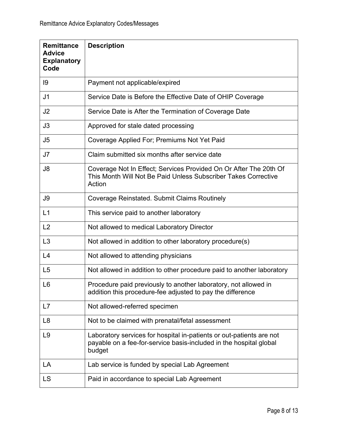| <b>Remittance</b><br><b>Advice</b><br><b>Explanatory</b><br>Code | <b>Description</b>                                                                                                                                   |
|------------------------------------------------------------------|------------------------------------------------------------------------------------------------------------------------------------------------------|
| 9                                                                | Payment not applicable/expired                                                                                                                       |
| J <sub>1</sub>                                                   | Service Date is Before the Effective Date of OHIP Coverage                                                                                           |
| J2                                                               | Service Date is After the Termination of Coverage Date                                                                                               |
| J3                                                               | Approved for stale dated processing                                                                                                                  |
| J <sub>5</sub>                                                   | Coverage Applied For; Premiums Not Yet Paid                                                                                                          |
| J7                                                               | Claim submitted six months after service date                                                                                                        |
| J8                                                               | Coverage Not In Effect; Services Provided On Or After The 20th Of<br>This Month Will Not Be Paid Unless Subscriber Takes Corrective<br>Action        |
| J9                                                               | <b>Coverage Reinstated. Submit Claims Routinely</b>                                                                                                  |
| L1                                                               | This service paid to another laboratory                                                                                                              |
| L2                                                               | Not allowed to medical Laboratory Director                                                                                                           |
| L3                                                               | Not allowed in addition to other laboratory procedure(s)                                                                                             |
| L4                                                               | Not allowed to attending physicians                                                                                                                  |
| L <sub>5</sub>                                                   | Not allowed in addition to other procedure paid to another laboratory                                                                                |
| L <sub>6</sub>                                                   | Procedure paid previously to another laboratory, not allowed in<br>addition this procedure-fee adjusted to pay the difference                        |
| L7                                                               | Not allowed-referred specimen                                                                                                                        |
| L <sub>8</sub>                                                   | Not to be claimed with prenatal/fetal assessment                                                                                                     |
| L <sub>9</sub>                                                   | Laboratory services for hospital in-patients or out-patients are not<br>payable on a fee-for-service basis-included in the hospital global<br>budget |
| LA                                                               | Lab service is funded by special Lab Agreement                                                                                                       |
| LS                                                               | Paid in accordance to special Lab Agreement                                                                                                          |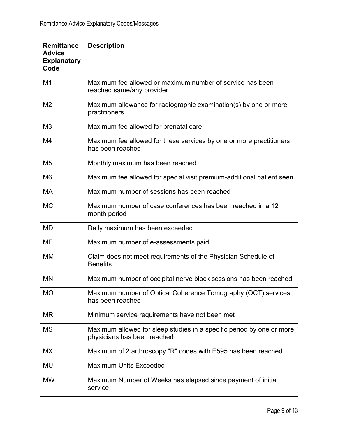| <b>Remittance</b><br><b>Advice</b><br><b>Explanatory</b><br>Code | <b>Description</b>                                                                                   |
|------------------------------------------------------------------|------------------------------------------------------------------------------------------------------|
| M1                                                               | Maximum fee allowed or maximum number of service has been<br>reached same/any provider               |
| M <sub>2</sub>                                                   | Maximum allowance for radiographic examination(s) by one or more<br>practitioners                    |
| M <sub>3</sub>                                                   | Maximum fee allowed for prenatal care                                                                |
| M4                                                               | Maximum fee allowed for these services by one or more practitioners<br>has been reached              |
| M <sub>5</sub>                                                   | Monthly maximum has been reached                                                                     |
| M <sub>6</sub>                                                   | Maximum fee allowed for special visit premium-additional patient seen                                |
| МA                                                               | Maximum number of sessions has been reached                                                          |
| <b>MC</b>                                                        | Maximum number of case conferences has been reached in a 12<br>month period                          |
| <b>MD</b>                                                        | Daily maximum has been exceeded                                                                      |
| <b>ME</b>                                                        | Maximum number of e-assessments paid                                                                 |
| <b>MM</b>                                                        | Claim does not meet requirements of the Physician Schedule of<br><b>Benefits</b>                     |
| <b>MN</b>                                                        | Maximum number of occipital nerve block sessions has been reached                                    |
| <b>MO</b>                                                        | Maximum number of Optical Coherence Tomography (OCT) services<br>has been reached                    |
| <b>MR</b>                                                        | Minimum service requirements have not been met                                                       |
| <b>MS</b>                                                        | Maximum allowed for sleep studies in a specific period by one or more<br>physicians has been reached |
| MX                                                               | Maximum of 2 arthroscopy "R" codes with E595 has been reached                                        |
| MU                                                               | <b>Maximum Units Exceeded</b>                                                                        |
| <b>MW</b>                                                        | Maximum Number of Weeks has elapsed since payment of initial<br>service                              |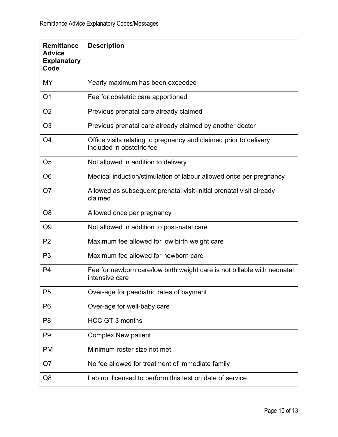| <b>Remittance</b><br><b>Advice</b><br><b>Explanatory</b><br>Code | <b>Description</b>                                                                             |
|------------------------------------------------------------------|------------------------------------------------------------------------------------------------|
| MY                                                               | Yearly maximum has been exceeded                                                               |
| O <sub>1</sub>                                                   | Fee for obstetric care apportioned                                                             |
| O <sub>2</sub>                                                   | Previous prenatal care already claimed                                                         |
| O <sub>3</sub>                                                   | Previous prenatal care already claimed by another doctor                                       |
| O <sub>4</sub>                                                   | Office visits relating to pregnancy and claimed prior to delivery<br>included in obstetric fee |
| O <sub>5</sub>                                                   | Not allowed in addition to delivery                                                            |
| O <sub>6</sub>                                                   | Medical induction/stimulation of labour allowed once per pregnancy                             |
| O <sub>7</sub>                                                   | Allowed as subsequent prenatal visit-initial prenatal visit already<br>claimed                 |
| O <sub>8</sub>                                                   | Allowed once per pregnancy                                                                     |
| O <sub>9</sub>                                                   | Not allowed in addition to post-natal care                                                     |
| P <sub>2</sub>                                                   | Maximum fee allowed for low birth weight care                                                  |
| P <sub>3</sub>                                                   | Maximum fee allowed for newborn care                                                           |
| P <sub>4</sub>                                                   | Fee for newborn care/low birth weight care is not billable with neonatal<br>intensive care     |
| P <sub>5</sub>                                                   | Over-age for paediatric rates of payment                                                       |
| P <sub>6</sub>                                                   | Over-age for well-baby care                                                                    |
| P <sub>8</sub>                                                   | <b>HCC GT 3 months</b>                                                                         |
| P <sub>9</sub>                                                   | <b>Complex New patient</b>                                                                     |
| <b>PM</b>                                                        | Minimum roster size not met                                                                    |
| Q7                                                               | No fee allowed for treatment of immediate family                                               |
| Q8                                                               | Lab not licensed to perform this test on date of service                                       |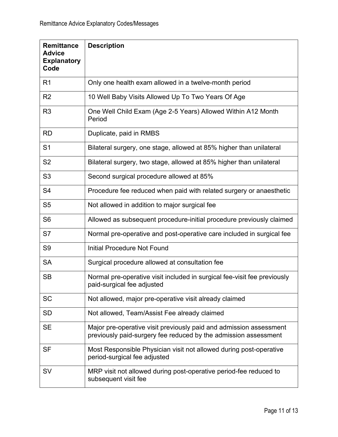| <b>Remittance</b><br><b>Advice</b><br><b>Explanatory</b><br>Code | <b>Description</b>                                                                                                                    |
|------------------------------------------------------------------|---------------------------------------------------------------------------------------------------------------------------------------|
| R <sub>1</sub>                                                   | Only one health exam allowed in a twelve-month period                                                                                 |
| R <sub>2</sub>                                                   | 10 Well Baby Visits Allowed Up To Two Years Of Age                                                                                    |
| R <sub>3</sub>                                                   | One Well Child Exam (Age 2-5 Years) Allowed Within A12 Month<br>Period                                                                |
| <b>RD</b>                                                        | Duplicate, paid in RMBS                                                                                                               |
| S <sub>1</sub>                                                   | Bilateral surgery, one stage, allowed at 85% higher than unilateral                                                                   |
| S <sub>2</sub>                                                   | Bilateral surgery, two stage, allowed at 85% higher than unilateral                                                                   |
| S <sub>3</sub>                                                   | Second surgical procedure allowed at 85%                                                                                              |
| S <sub>4</sub>                                                   | Procedure fee reduced when paid with related surgery or anaesthetic                                                                   |
| S <sub>5</sub>                                                   | Not allowed in addition to major surgical fee                                                                                         |
| S <sub>6</sub>                                                   | Allowed as subsequent procedure-initial procedure previously claimed                                                                  |
| S7                                                               | Normal pre-operative and post-operative care included in surgical fee                                                                 |
| S <sub>9</sub>                                                   | <b>Initial Procedure Not Found</b>                                                                                                    |
| <b>SA</b>                                                        | Surgical procedure allowed at consultation fee                                                                                        |
| <b>SB</b>                                                        | Normal pre-operative visit included in surgical fee-visit fee previously<br>paid-surgical fee adjusted                                |
| <b>SC</b>                                                        | Not allowed, major pre-operative visit already claimed                                                                                |
| <b>SD</b>                                                        | Not allowed, Team/Assist Fee already claimed                                                                                          |
| <b>SE</b>                                                        | Major pre-operative visit previously paid and admission assessment<br>previously paid-surgery fee reduced by the admission assessment |
| <b>SF</b>                                                        | Most Responsible Physician visit not allowed during post-operative<br>period-surgical fee adjusted                                    |
| <b>SV</b>                                                        | MRP visit not allowed during post-operative period-fee reduced to<br>subsequent visit fee                                             |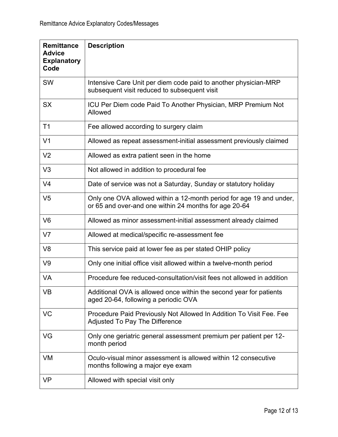| <b>Remittance</b><br><b>Advice</b><br><b>Explanatory</b><br>Code | <b>Description</b>                                                                                                           |
|------------------------------------------------------------------|------------------------------------------------------------------------------------------------------------------------------|
| <b>SW</b>                                                        | Intensive Care Unit per diem code paid to another physician-MRP<br>subsequent visit reduced to subsequent visit              |
| <b>SX</b>                                                        | ICU Per Diem code Paid To Another Physician, MRP Premium Not<br>Allowed                                                      |
| T <sub>1</sub>                                                   | Fee allowed according to surgery claim                                                                                       |
| V <sub>1</sub>                                                   | Allowed as repeat assessment-initial assessment previously claimed                                                           |
| V <sub>2</sub>                                                   | Allowed as extra patient seen in the home                                                                                    |
| V <sub>3</sub>                                                   | Not allowed in addition to procedural fee                                                                                    |
| V <sub>4</sub>                                                   | Date of service was not a Saturday, Sunday or statutory holiday                                                              |
| V <sub>5</sub>                                                   | Only one OVA allowed within a 12-month period for age 19 and under,<br>or 65 and over-and one within 24 months for age 20-64 |
| V <sub>6</sub>                                                   | Allowed as minor assessment-initial assessment already claimed                                                               |
| V <sub>7</sub>                                                   | Allowed at medical/specific re-assessment fee                                                                                |
| V <sub>8</sub>                                                   | This service paid at lower fee as per stated OHIP policy                                                                     |
| V <sub>9</sub>                                                   | Only one initial office visit allowed within a twelve-month period                                                           |
| VA                                                               | Procedure fee reduced-consultation/visit fees not allowed in addition                                                        |
| <b>VB</b>                                                        | Additional OVA is allowed once within the second year for patients<br>aged 20-64, following a periodic OVA                   |
| <b>VC</b>                                                        | Procedure Paid Previously Not Allowed In Addition To Visit Fee. Fee<br>Adjusted To Pay The Difference                        |
| VG                                                               | Only one geriatric general assessment premium per patient per 12-<br>month period                                            |
| VM                                                               | Oculo-visual minor assessment is allowed within 12 consecutive<br>months following a major eye exam                          |
| <b>VP</b>                                                        | Allowed with special visit only                                                                                              |